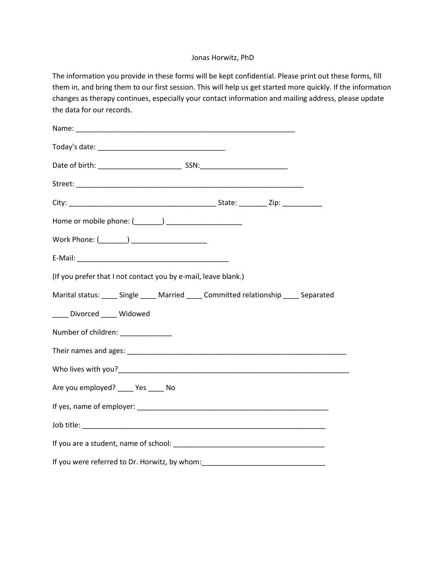## Jonas Horwitz, PhD

The information you provide in these forms will be kept confidential. Please print out these forms, fill them in, and bring them to our first session. This will help us get started more quickly. If the information changes as therapy continues, especially your contact information and mailing address, please update the data for our records.

| Home or mobile phone: (_______) _____________________                                   |
|-----------------------------------------------------------------------------------------|
| Work Phone: (________) _____________________                                            |
|                                                                                         |
| (If you prefer that I not contact you by e-mail, leave blank.)                          |
| Marital status: _____ Single _____ Married _____ Committed relationship _____ Separated |
| ____ Divorced ____ Widowed                                                              |
| Number of children: _____________                                                       |
|                                                                                         |
|                                                                                         |
| Are you employed? ____ Yes ____ No                                                      |
|                                                                                         |
|                                                                                         |
|                                                                                         |
| If you were referred to Dr. Horwitz, by whom: __________________________________        |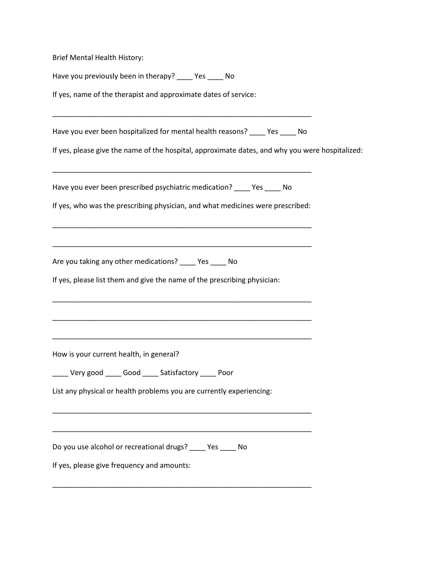Brief Mental Health History:

Have you previously been in therapy? \_\_\_\_ Yes \_\_\_\_ No

If yes, name of the therapist and approximate dates of service:

Have you ever been hospitalized for mental health reasons? \_\_\_\_ Yes \_\_\_\_ No

\_\_\_\_\_\_\_\_\_\_\_\_\_\_\_\_\_\_\_\_\_\_\_\_\_\_\_\_\_\_\_\_\_\_\_\_\_\_\_\_\_\_\_\_\_\_\_\_\_\_\_\_\_\_\_\_\_\_\_\_\_\_\_\_\_

If yes, please give the name of the hospital, approximate dates, and why you were hospitalized:

Have you ever been prescribed psychiatric medication? \_\_\_\_ Yes \_\_\_\_ No

If yes, who was the prescribing physician, and what medicines were prescribed:

\_\_\_\_\_\_\_\_\_\_\_\_\_\_\_\_\_\_\_\_\_\_\_\_\_\_\_\_\_\_\_\_\_\_\_\_\_\_\_\_\_\_\_\_\_\_\_\_\_\_\_\_\_\_\_\_\_\_\_\_\_\_\_\_\_

\_\_\_\_\_\_\_\_\_\_\_\_\_\_\_\_\_\_\_\_\_\_\_\_\_\_\_\_\_\_\_\_\_\_\_\_\_\_\_\_\_\_\_\_\_\_\_\_\_\_\_\_\_\_\_\_\_\_\_\_\_\_\_\_\_

\_\_\_\_\_\_\_\_\_\_\_\_\_\_\_\_\_\_\_\_\_\_\_\_\_\_\_\_\_\_\_\_\_\_\_\_\_\_\_\_\_\_\_\_\_\_\_\_\_\_\_\_\_\_\_\_\_\_\_\_\_\_\_\_\_

\_\_\_\_\_\_\_\_\_\_\_\_\_\_\_\_\_\_\_\_\_\_\_\_\_\_\_\_\_\_\_\_\_\_\_\_\_\_\_\_\_\_\_\_\_\_\_\_\_\_\_\_\_\_\_\_\_\_\_\_\_\_\_\_\_

\_\_\_\_\_\_\_\_\_\_\_\_\_\_\_\_\_\_\_\_\_\_\_\_\_\_\_\_\_\_\_\_\_\_\_\_\_\_\_\_\_\_\_\_\_\_\_\_\_\_\_\_\_\_\_\_\_\_\_\_\_\_\_\_\_

\_\_\_\_\_\_\_\_\_\_\_\_\_\_\_\_\_\_\_\_\_\_\_\_\_\_\_\_\_\_\_\_\_\_\_\_\_\_\_\_\_\_\_\_\_\_\_\_\_\_\_\_\_\_\_\_\_\_\_\_\_\_\_\_\_

\_\_\_\_\_\_\_\_\_\_\_\_\_\_\_\_\_\_\_\_\_\_\_\_\_\_\_\_\_\_\_\_\_\_\_\_\_\_\_\_\_\_\_\_\_\_\_\_\_\_\_\_\_\_\_\_\_\_\_\_\_\_\_\_\_

\_\_\_\_\_\_\_\_\_\_\_\_\_\_\_\_\_\_\_\_\_\_\_\_\_\_\_\_\_\_\_\_\_\_\_\_\_\_\_\_\_\_\_\_\_\_\_\_\_\_\_\_\_\_\_\_\_\_\_\_\_\_\_\_\_

\_\_\_\_\_\_\_\_\_\_\_\_\_\_\_\_\_\_\_\_\_\_\_\_\_\_\_\_\_\_\_\_\_\_\_\_\_\_\_\_\_\_\_\_\_\_\_\_\_\_\_\_\_\_\_\_\_\_\_\_\_\_\_\_\_

Are you taking any other medications? \_\_\_\_ Yes \_\_\_\_ No

If yes, please list them and give the name of the prescribing physician:

How is your current health, in general?

\_\_\_\_ Very good \_\_\_\_ Good \_\_\_\_ Satisfactory \_\_\_\_ Poor

List any physical or health problems you are currently experiencing:

Do you use alcohol or recreational drugs? \_\_\_\_ Yes \_\_\_\_ No

If yes, please give frequency and amounts: